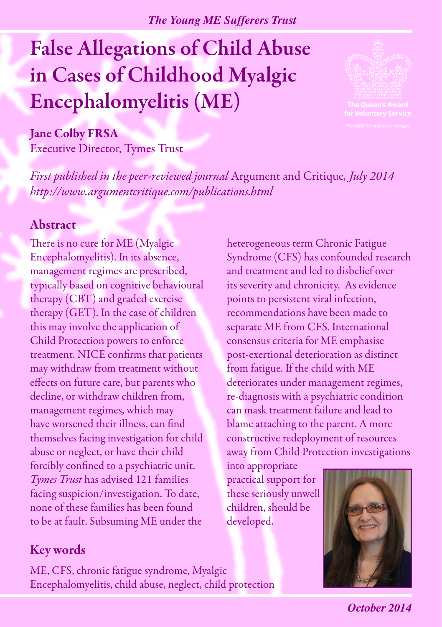*The Young ME Sufferers Trust*

# False Allegations of Child Abuse in Cases of Childhood Myalgic Encephalomyelitis (ME)



#### Jane Colby FRSA

Executive Director, Tymes Trust

*First published in the peer-reviewed journal* Argument and Critique*, July 2014 http://www.argumentcritique.com/publications.html*

#### Abstract

There is no cure for ME (Myalgic Encephalomyelitis). In its absence, management regimes are prescribed, typically based on cognitive behavioural therapy (CBT) and graded exercise therapy (GET). In the case of children this may involve the application of Child Protection powers to enforce treatment. NICE confirms that patients may withdraw from treatment without effects on future care, but parents who decline, or withdraw children from, management regimes, which may have worsened their illness, can find themselves facing investigation for child abuse or neglect, or have their child forcibly confined to a psychiatric unit. *Tymes Trust* has advised 121 families facing suspicion/investigation. To date, none of these families has been found to be at fault. Subsuming ME under the

heterogeneous term Chronic Fatigue Syndrome (CFS) has confounded research and treatment and led to disbelief over its severity and chronicity. As evidence points to persistent viral infection, recommendations have been made to separate ME from CFS. International consensus criteria for ME emphasise post-exertional deterioration as distinct from fatigue. If the child with ME deteriorates under management regimes, re-diagnosis with a psychiatric condition can mask treatment failure and lead to blame attaching to the parent. A more constructive redeployment of resources away from Child Protection investigations

into appropriate practical support for these seriously unwell children, should be developed.



## Key words

ME, CFS, chronic fatigue syndrome, Myalgic Encephalomyelitis, child abuse, neglect, child protection

*October 2014*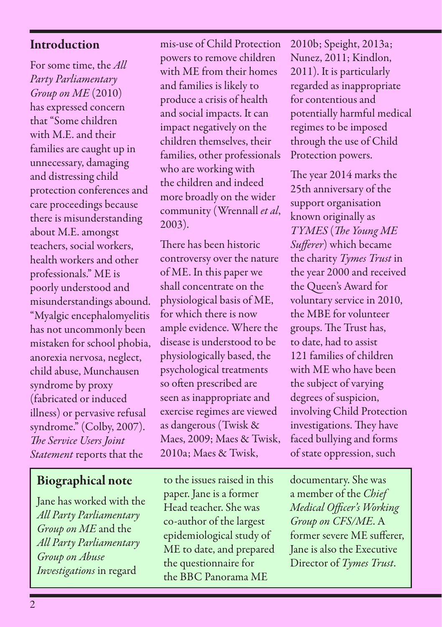#### Introduction

For some time, the *All Party Parliamentary Group on ME* (2010) has expressed concern that "Some children with M.E. and their families are caught up in unnecessary, damaging and distressing child protection conferences and care proceedings because there is misunderstanding about M.E. amongst teachers, social workers, health workers and other professionals." ME is poorly understood and misunderstandings abound. "Myalgic encephalomyelitis has not uncommonly been mistaken for school phobia, anorexia nervosa, neglect, child abuse, Munchausen syndrome by proxy (fabricated or induced illness) or pervasive refusal syndrome." (Colby, 2007). *The Service Users Joint Statement* reports that the

## Biographical note

Jane has worked with the *All Party Parliamentary Group on ME* and the *All Party Parliamentary Group on Abuse Investigations* in regard

mis-use of Child Protection powers to remove children with ME from their homes and families is likely to produce a crisis of health and social impacts. It can impact negatively on the children themselves, their families, other professionals who are working with the children and indeed more broadly on the wider community (Wrennall *et al*, 2003).

There has been historic controversy over the nature of ME. In this paper we shall concentrate on the physiological basis of ME, for which there is now ample evidence. Where the disease is understood to be physiologically based, the psychological treatments so often prescribed are seen as inappropriate and exercise regimes are viewed as dangerous (Twisk & Maes, 2009; Maes & Twisk, 2010a; Maes & Twisk,

to the issues raised in this paper. Jane is a former Head teacher. She was co-author of the largest epidemiological study of ME to date, and prepared the questionnaire for the BBC Panorama ME

2010b; Speight, 2013a; Nunez, 2011; Kindlon, 2011). It is particularly regarded as inappropriate for contentious and potentially harmful medical regimes to be imposed through the use of Child Protection powers.

The year 2014 marks the 25th anniversary of the support organisation known originally as *TYMES* (*The Young ME Sufferer*) which became the charity *Tymes Trust* in the year 2000 and received the Queen's Award for voluntary service in 2010, the MBE for volunteer groups. The Trust has, to date, had to assist 121 families of children with ME who have been the subject of varying degrees of suspicion, involving Child Protection investigations. They have faced bullying and forms of state oppression, such

documentary. She was a member of the *Chief Medical Officer's Working Group on CFS/ME*. A former severe ME sufferer, Jane is also the Executive Director of *Tymes Trust*.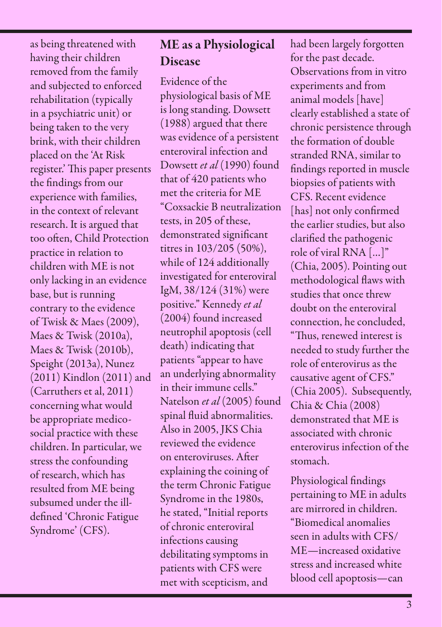as being threatened with having their children removed from the family and subjected to enforced rehabilitation (typically in a psychiatric unit) or being taken to the very brink, with their children placed on the 'At Risk register.' This paper presents the findings from our experience with families, in the context of relevant research. It is argued that too often, Child Protection practice in relation to children with ME is not only lacking in an evidence base, but is running contrary to the evidence of Twisk & Maes (2009), Maes & Twisk (2010a), Maes & Twisk (2010b), Speight (2013a), Nunez (2011) Kindlon (2011) and (Carruthers et al, 2011) concerning what would be appropriate medicosocial practice with these children. In particular, we stress the confounding of research, which has resulted from ME being subsumed under the illdefined 'Chronic Fatigue Syndrome' (CFS).

## ME as a Physiological Disease

Evidence of the physiological basis of ME is long standing. Dowsett (1988) argued that there was evidence of a persistent enteroviral infection and Dowsett *et al* (1990) found that of 420 patients who met the criteria for ME "Coxsackie B neutralization tests, in 205 of these, demonstrated significant titres in 103/205 (50%), while of 124 additionally investigated for enteroviral IgM, 38/124 (31%) were positive." Kennedy *et al* (2004) found increased neutrophil apoptosis (cell death) indicating that patients "appear to have an underlying abnormality in their immune cells." Natelson *et al* (2005) found spinal fluid abnormalities. Also in 2005, JKS Chia reviewed the evidence on enteroviruses. After explaining the coining of the term Chronic Fatigue Syndrome in the 1980s, he stated, "Initial reports of chronic enteroviral infections causing debilitating symptoms in patients with CFS were met with scepticism, and

had been largely forgotten for the past decade. Observations from in vitro experiments and from animal models [have] clearly established a state of chronic persistence through the formation of double stranded RNA, similar to findings reported in muscle biopsies of patients with CFS. Recent evidence [has] not only confirmed the earlier studies, but also clarified the pathogenic role of viral RNA […]" (Chia, 2005). Pointing out methodological flaws with studies that once threw doubt on the enteroviral connection, he concluded, "Thus, renewed interest is needed to study further the role of enterovirus as the causative agent of CFS." (Chia 2005). Subsequently, Chia & Chia (2008) demonstrated that ME is associated with chronic enterovirus infection of the stomach.

Physiological findings pertaining to ME in adults are mirrored in children. "Biomedical anomalies seen in adults with CFS/ ME—increased oxidative stress and increased white blood cell apoptosis—can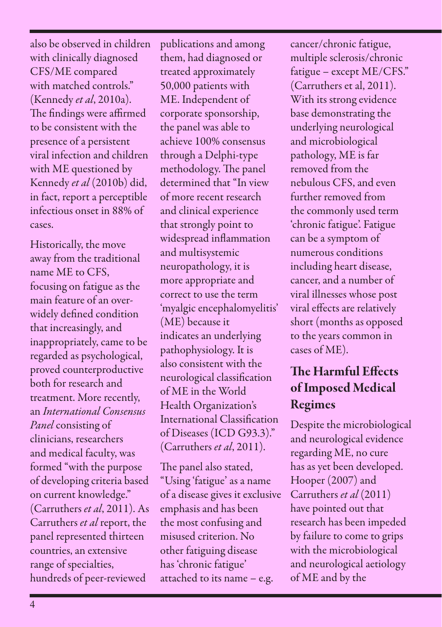also be observed in children with clinically diagnosed CFS/ME compared with matched controls." (Kennedy *et al*, 2010a). The findings were affirmed to be consistent with the presence of a persistent viral infection and children with ME questioned by Kennedy *et al* (2010b) did, in fact, report a perceptible infectious onset in 88% of cases.

Historically, the move away from the traditional name ME to CFS, focusing on fatigue as the main feature of an overwidely defined condition that increasingly, and inappropriately, came to be regarded as psychological, proved counterproductive both for research and treatment. More recently, an *International Consensus Panel* consisting of clinicians, researchers and medical faculty, was formed "with the purpose of developing criteria based on current knowledge." (Carruthers *et al*, 2011). As Carruthers *et al* report, the panel represented thirteen countries, an extensive range of specialties, hundreds of peer-reviewed

publications and among them, had diagnosed or treated approximately 50,000 patients with ME. Independent of corporate sponsorship, the panel was able to achieve 100% consensus through a Delphi-type methodology. The panel determined that "In view of more recent research and clinical experience that strongly point to widespread inflammation and multisystemic neuropathology, it is more appropriate and correct to use the term 'myalgic encephalomyelitis' (ME) because it indicates an underlying pathophysiology. It is also consistent with the neurological classification of ME in the World Health Organization's International Classification of Diseases (ICD G93.3)." (Carruthers *et al*, 2011).

The panel also stated, "Using 'fatigue' as a name of a disease gives it exclusive emphasis and has been the most confusing and misused criterion. No other fatiguing disease has 'chronic fatigue' attached to its name – e.g.

cancer/chronic fatigue, multiple sclerosis/chronic fatigue – except ME/CFS." (Carruthers et al, 2011). With its strong evidence base demonstrating the underlying neurological and microbiological pathology, ME is far removed from the nebulous CFS, and even further removed from the commonly used term 'chronic fatigue'. Fatigue can be a symptom of numerous conditions including heart disease, cancer, and a number of viral illnesses whose post viral effects are relatively short (months as opposed to the years common in cases of ME).

## The Harmful Effects of Imposed Medical Regimes

Despite the microbiological and neurological evidence regarding ME, no cure has as yet been developed. Hooper (2007) and Carruthers *et al* (2011) have pointed out that research has been impeded by failure to come to grips with the microbiological and neurological aetiology of ME and by the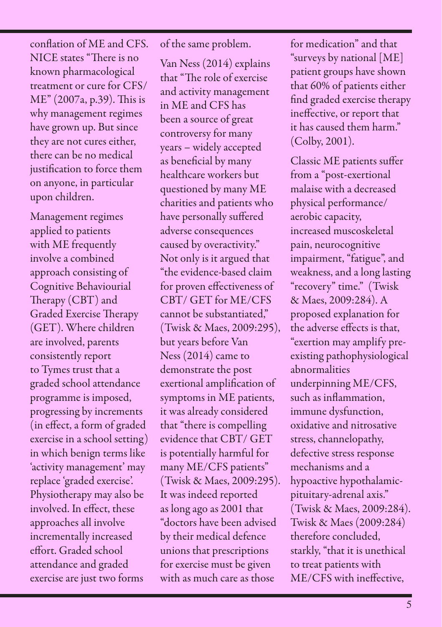conflation of ME and CFS. NICE states "There is no known pharmacological treatment or cure for CFS/ ME" (2007a, p.39). This is why management regimes have grown up. But since they are not cures either, there can be no medical justification to force them on anyone, in particular upon children.

Management regimes applied to patients with ME frequently involve a combined approach consisting of Cognitive Behaviourial Therapy (CBT) and Graded Exercise Therapy (GET). Where children are involved, parents consistently report to Tymes trust that a graded school attendance programme is imposed, progressing by increments (in effect, a form of graded exercise in a school setting) in which benign terms like 'activity management' may replace 'graded exercise'. Physiotherapy may also be involved. In effect, these approaches all involve incrementally increased effort. Graded school attendance and graded exercise are just two forms

of the same problem.

Van Ness (2014) explains that "The role of exercise and activity management in ME and CFS has been a source of great controversy for many years – widely accepted as beneficial by many healthcare workers but questioned by many ME charities and patients who have personally suffered adverse consequences caused by overactivity." Not only is it argued that "the evidence-based claim for proven effectiveness of CBT/ GET for ME/CFS cannot be substantiated," (Twisk & Maes, 2009:295), but years before Van Ness (2014) came to demonstrate the post exertional amplification of symptoms in ME patients, it was already considered that "there is compelling evidence that CBT/ GET is potentially harmful for many ME/CFS patients" (Twisk & Maes, 2009:295). It was indeed reported as long ago as 2001 that "doctors have been advised by their medical defence unions that prescriptions for exercise must be given with as much care as those

for medication" and that "surveys by national [ME] patient groups have shown that 60% of patients either find graded exercise therapy ineffective, or report that it has caused them harm." (Colby, 2001).

Classic ME patients suffer from a "post-exertional malaise with a decreased physical performance/ aerobic capacity, increased muscoskeletal pain, neurocognitive impairment, "fatigue", and weakness, and a long lasting "recovery" time." (Twisk & Maes, 2009:284). A proposed explanation for the adverse effects is that, "exertion may amplify preexisting pathophysiological abnormalities underpinning ME/CFS, such as inflammation, immune dysfunction, oxidative and nitrosative stress, channelopathy, defective stress response mechanisms and a hypoactive hypothalamicpituitary-adrenal axis." (Twisk & Maes, 2009:284). Twisk & Maes (2009:284) therefore concluded, starkly, "that it is unethical to treat patients with ME/CFS with ineffective,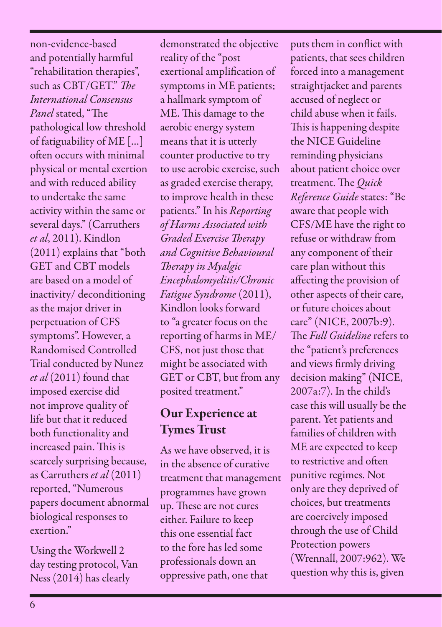non-evidence-based and potentially harmful "rehabilitation therapies", such as CBT/GET." *The International Consensus Panel* stated, "The pathological low threshold of fatiguability of ME […] often occurs with minimal physical or mental exertion and with reduced ability to undertake the same activity within the same or several days." (Carruthers *et al*, 2011). Kindlon (2011) explains that "both GET and CBT models are based on a model of inactivity/ deconditioning as the major driver in perpetuation of CFS symptoms". However, a Randomised Controlled Trial conducted by Nunez *et al* (2011) found that imposed exercise did not improve quality of life but that it reduced both functionality and increased pain. This is scarcely surprising because, as Carruthers *et al* (2011) reported, "Numerous papers document abnormal biological responses to exertion."

Using the Workwell 2 day testing protocol, Van Ness (2014) has clearly

demonstrated the objective reality of the "post exertional amplification of symptoms in ME patients; a hallmark symptom of ME. This damage to the aerobic energy system means that it is utterly counter productive to try to use aerobic exercise, such as graded exercise therapy, to improve health in these patients." In his *Reporting of Harms Associated with Graded Exercise Therapy and Cognitive Behavioural Therapy in Myalgic Encephalomyelitis/Chronic Fatigue Syndrome* (2011), Kindlon looks forward to "a greater focus on the reporting of harms in ME/ CFS, not just those that might be associated with GET or CBT, but from any posited treatment."

## Our Experience at Tymes Trust

As we have observed, it is in the absence of curative treatment that management programmes have grown up. These are not cures either. Failure to keep this one essential fact to the fore has led some professionals down an oppressive path, one that

puts them in conflict with patients, that sees children forced into a management straightjacket and parents accused of neglect or child abuse when it fails. This is happening despite the NICE Guideline reminding physicians about patient choice over treatment. The *Quick Reference Guide* states: "Be aware that people with CFS/ME have the right to refuse or withdraw from any component of their care plan without this affecting the provision of other aspects of their care, or future choices about care" (NICE, 2007b:9). The *Full Guideline* refers to the "patient's preferences and views firmly driving decision making" (NICE, 2007a:7). In the child's case this will usually be the parent. Yet patients and families of children with ME are expected to keep to restrictive and often punitive regimes. Not only are they deprived of choices, but treatments are coercively imposed through the use of Child Protection powers (Wrennall, 2007:962). We question why this is, given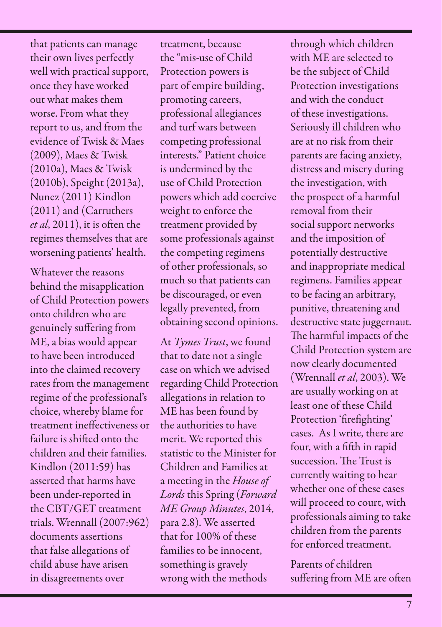that patients can manage their own lives perfectly well with practical support, once they have worked out what makes them worse. From what they report to us, and from the evidence of Twisk & Maes (2009), Maes & Twisk (2010a), Maes & Twisk (2010b), Speight (2013a), Nunez (2011) Kindlon (2011) and (Carruthers *et al*, 2011), it is often the regimes themselves that are worsening patients' health.

Whatever the reasons behind the misapplication of Child Protection powers onto children who are genuinely suffering from ME, a bias would appear to have been introduced into the claimed recovery rates from the management regime of the professional's choice, whereby blame for treatment ineffectiveness or failure is shifted onto the children and their families. Kindlon (2011:59) has asserted that harms have been under-reported in the CBT/GET treatment trials. Wrennall (2007:962) documents assertions that false allegations of child abuse have arisen in disagreements over

treatment, because the "mis-use of Child Protection powers is part of empire building, promoting careers, professional allegiances and turf wars between competing professional interests." Patient choice is undermined by the use of Child Protection powers which add coercive weight to enforce the treatment provided by some professionals against the competing regimens of other professionals, so much so that patients can be discouraged, or even legally prevented, from obtaining second opinions.

At *Tymes Trust*, we found that to date not a single case on which we advised regarding Child Protection allegations in relation to ME has been found by the authorities to have merit. We reported this statistic to the Minister for Children and Families at a meeting in the *House of Lords* this Spring (*Forward ME Group Minutes*, 2014, para 2.8). We asserted that for 100% of these families to be innocent, something is gravely wrong with the methods

through which children with ME are selected to be the subject of Child Protection investigations and with the conduct of these investigations. Seriously ill children who are at no risk from their parents are facing anxiety, distress and misery during the investigation, with the prospect of a harmful removal from their social support networks and the imposition of potentially destructive and inappropriate medical regimens. Families appear to be facing an arbitrary, punitive, threatening and destructive state juggernaut. The harmful impacts of the Child Protection system are now clearly documented (Wrennall *et al*, 2003). We are usually working on at least one of these Child Protection 'firefighting' cases. As I write, there are four, with a fifth in rapid succession. The Trust is currently waiting to hear whether one of these cases will proceed to court, with professionals aiming to take children from the parents for enforced treatment.

Parents of children suffering from ME are often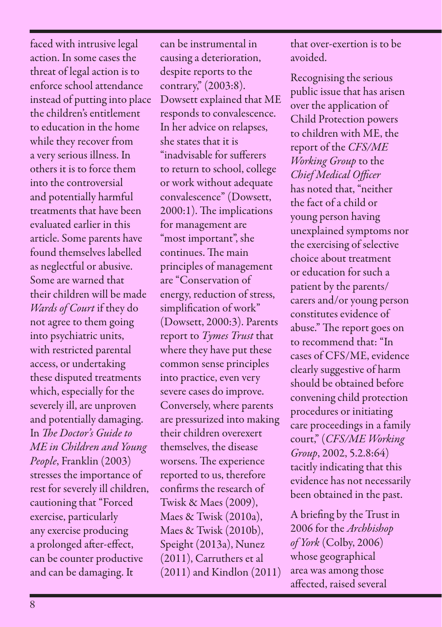faced with intrusive legal action. In some cases the threat of legal action is to enforce school attendance instead of putting into place the children's entitlement to education in the home while they recover from a very serious illness. In others it is to force them into the controversial and potentially harmful treatments that have been evaluated earlier in this article. Some parents have found themselves labelled as neglectful or abusive. Some are warned that their children will be made *Wards of Court* if they do not agree to them going into psychiatric units, with restricted parental access, or undertaking these disputed treatments which, especially for the severely ill, are unproven and potentially damaging. In *The Doctor's Guide to ME in Children and Young People*, Franklin (2003) stresses the importance of rest for severely ill children, cautioning that "Forced exercise, particularly any exercise producing a prolonged after-effect, can be counter productive and can be damaging. It

can be instrumental in causing a deterioration, despite reports to the contrary," (2003:8). Dowsett explained that ME responds to convalescence. In her advice on relapses, she states that it is "inadvisable for sufferers to return to school, college or work without adequate convalescence" (Dowsett, 2000:1). The implications for management are "most important", she continues. The main principles of management are "Conservation of energy, reduction of stress, simplification of work" (Dowsett, 2000:3). Parents report to *Tymes Trust* that where they have put these common sense principles into practice, even very severe cases do improve. Conversely, where parents are pressurized into making their children overexert themselves, the disease worsens. The experience reported to us, therefore confirms the research of Twisk & Maes (2009), Maes & Twisk (2010a), Maes & Twisk (2010b), Speight (2013a), Nunez (2011), Carruthers et al (2011) and Kindlon (2011)

that over-exertion is to be avoided.

Recognising the serious public issue that has arisen over the application of Child Protection powers to children with ME, the report of the *CFS/ME Working Group* to the *Chief Medical Officer* has noted that, "neither the fact of a child or young person having unexplained symptoms nor the exercising of selective choice about treatment or education for such a patient by the parents/ carers and/or young person constitutes evidence of abuse." The report goes on to recommend that: "In cases of CFS/ME, evidence clearly suggestive of harm should be obtained before convening child protection procedures or initiating care proceedings in a family court," (*CFS/ME Working Group*, 2002, 5.2.8:64) tacitly indicating that this evidence has not necessarily been obtained in the past.

A briefing by the Trust in 2006 for the *Archbishop of York* (Colby, 2006) whose geographical area was among those affected, raised several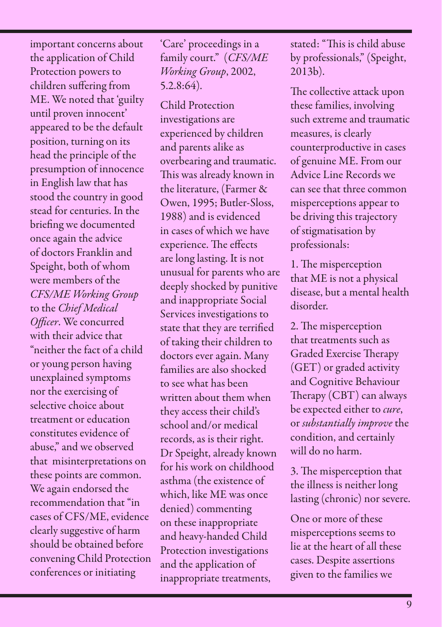important concerns about the application of Child Protection powers to children suffering from ME. We noted that 'guilty until proven innocent' appeared to be the default position, turning on its head the principle of the presumption of innocence in English law that has stood the country in good stead for centuries. In the briefing we documented once again the advice of doctors Franklin and Speight, both of whom were members of the *CFS/ME Working Group* to the *Chief Medical Officer*. We concurred with their advice that "neither the fact of a child or young person having unexplained symptoms nor the exercising of selective choice about treatment or education constitutes evidence of abuse," and we observed that misinterpretations on these points are common. We again endorsed the recommendation that "in cases of CFS/ME, evidence clearly suggestive of harm should be obtained before convening Child Protection conferences or initiating

'Care' proceedings in a family court." (*CFS/ME Working Group*, 2002, 5.2.8:64).

Child Protection investigations are experienced by children and parents alike as overbearing and traumatic. This was already known in the literature, (Farmer & Owen, 1995; Butler-Sloss, 1988) and is evidenced in cases of which we have experience. The effects are long lasting. It is not unusual for parents who are deeply shocked by punitive and inappropriate Social Services investigations to state that they are terrified of taking their children to doctors ever again. Many families are also shocked to see what has been written about them when they access their child's school and/or medical records, as is their right. Dr Speight, already known for his work on childhood asthma (the existence of which, like ME was once denied) commenting on these inappropriate and heavy-handed Child Protection investigations and the application of inappropriate treatments,

stated: "This is child abuse by professionals," (Speight, 2013b).

The collective attack upon these families, involving such extreme and traumatic measures, is clearly counterproductive in cases of genuine ME. From our Advice Line Records we can see that three common misperceptions appear to be driving this trajectory of stigmatisation by professionals:

1. The misperception that ME is not a physical disease, but a mental health disorder.

2. The misperception that treatments such as Graded Exercise Therapy (GET) or graded activity and Cognitive Behaviour Therapy (CBT) can always be expected either to *cure*, or *substantially improve* the condition, and certainly will do no harm.

3. The misperception that the illness is neither long lasting (chronic) nor severe.

One or more of these misperceptions seems to lie at the heart of all these cases. Despite assertions given to the families we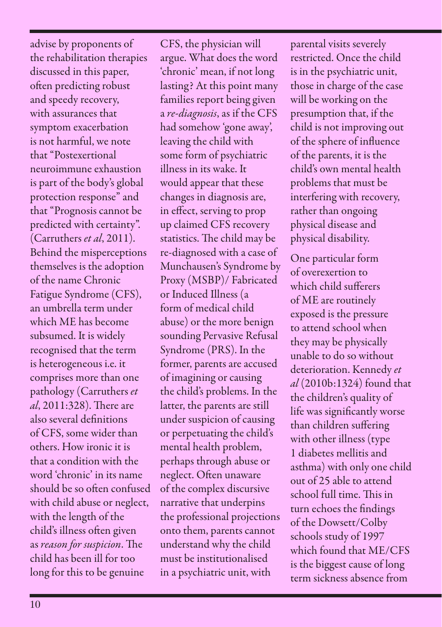advise by proponents of the rehabilitation therapies discussed in this paper, often predicting robust and speedy recovery, with assurances that symptom exacerbation is not harmful, we note that "Postexertional neuroimmune exhaustion is part of the body's global protection response" and that "Prognosis cannot be predicted with certainty". (Carruthers *et al*, 2011). Behind the misperceptions themselves is the adoption of the name Chronic Fatigue Syndrome (CFS), an umbrella term under which ME has become subsumed. It is widely recognised that the term is heterogeneous i.e. it comprises more than one pathology (Carruthers *et al*, 2011:328). There are also several definitions of CFS, some wider than others. How ironic it is that a condition with the word 'chronic' in its name should be so often confused with child abuse or neglect, with the length of the child's illness often given as *reason for suspicion*. The child has been ill for too long for this to be genuine

CFS, the physician will argue. What does the word 'chronic' mean, if not long lasting? At this point many families report being given a *re-diagnosis*, as if the CFS had somehow 'gone away', leaving the child with some form of psychiatric illness in its wake. It would appear that these changes in diagnosis are, in effect, serving to prop up claimed CFS recovery statistics. The child may be re-diagnosed with a case of Munchausen's Syndrome by Proxy (MSBP)/ Fabricated or Induced Illness (a form of medical child abuse) or the more benign sounding Pervasive Refusal Syndrome (PRS). In the former, parents are accused of imagining or causing the child's problems. In the latter, the parents are still under suspicion of causing or perpetuating the child's mental health problem, perhaps through abuse or neglect. Often unaware of the complex discursive narrative that underpins the professional projections onto them, parents cannot understand why the child must be institutionalised in a psychiatric unit, with

parental visits severely restricted. Once the child is in the psychiatric unit, those in charge of the case will be working on the presumption that, if the child is not improving out of the sphere of influence of the parents, it is the child's own mental health problems that must be interfering with recovery, rather than ongoing physical disease and physical disability.

One particular form of overexertion to which child sufferers of ME are routinely exposed is the pressure to attend school when they may be physically unable to do so without deterioration. Kennedy *et al* (2010b:1324) found that the children's quality of life was significantly worse than children suffering with other illness (type 1 diabetes mellitis and asthma) with only one child out of 25 able to attend school full time. This in turn echoes the findings of the Dowsett/Colby schools study of 1997 which found that ME/CFS is the biggest cause of long term sickness absence from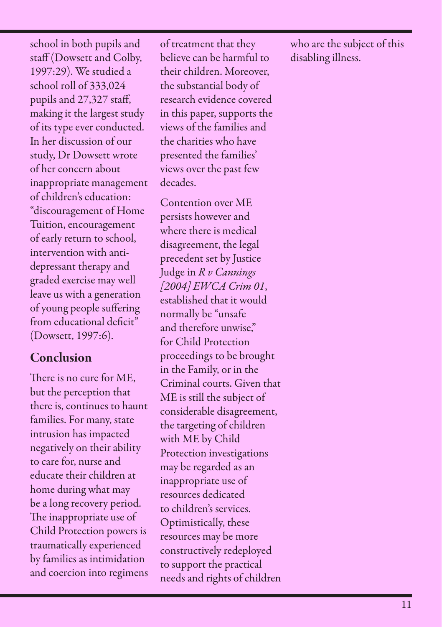school in both pupils and staff (Dowsett and Colby, 1997:29). We studied a school roll of 333,024 pupils and 27,327 staff, making it the largest study of its type ever conducted. In her discussion of our study, Dr Dowsett wrote of her concern about inappropriate management of children's education: "discouragement of Home Tuition, encouragement of early return to school, intervention with antidepressant therapy and graded exercise may well leave us with a generation of young people suffering from educational deficit" (Dowsett, 1997:6).

#### Conclusion

There is no cure for ME, but the perception that there is, continues to haunt families. For many, state intrusion has impacted negatively on their ability to care for, nurse and educate their children at home during what may be a long recovery period. The inappropriate use of Child Protection powers is traumatically experienced by families as intimidation and coercion into regimens of treatment that they believe can be harmful to their children. Moreover, the substantial body of research evidence covered in this paper, supports the views of the families and the charities who have presented the families' views over the past few decades.

Contention over ME persists however and where there is medical disagreement, the legal precedent set by Justice Judge in *R v Cannings [2004] EWCA Crim 01*, established that it would normally be "unsafe and therefore unwise," for Child Protection proceedings to be brought in the Family, or in the Criminal courts. Given that ME is still the subject of considerable disagreement, the targeting of children with ME by Child Protection investigations may be regarded as an inappropriate use of resources dedicated to children's services. Optimistically, these resources may be more constructively redeployed to support the practical needs and rights of children

who are the subject of this disabling illness.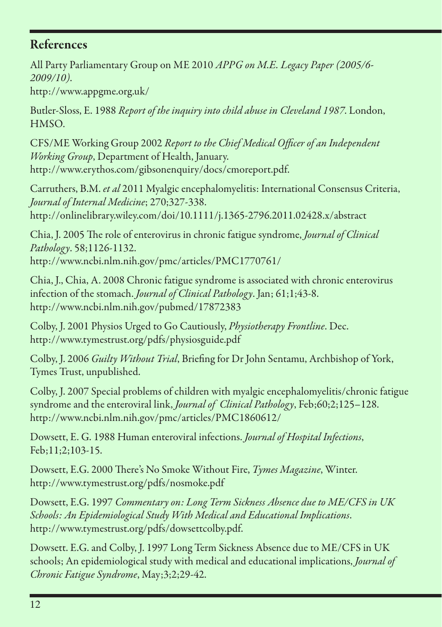### References

All Party Parliamentary Group on ME 2010 *APPG on M.E. Legacy Paper (2005/6- 2009/10)*.

http://www.appgme.org.uk/

Butler-Sloss, E. 1988 *Report of the inquiry into child abuse in Cleveland 1987*. London, HMSO.

CFS/ME Working Group 2002 *Report to the Chief Medical Officer of an Independent Working Group*, Department of Health, January. http://www.erythos.com/gibsonenquiry/docs/cmoreport.pdf.

Carruthers, B.M. *et al* 2011 Myalgic encephalomyelitis: International Consensus Criteria, *Journal of Internal Medicine*; 270;327-338.

http://onlinelibrary.wiley.com/doi/10.1111/j.1365-2796.2011.02428.x/abstract

Chia, J. 2005 The role of enterovirus in chronic fatigue syndrome, *Journal of Clinical Pathology*. 58;1126-1132. http://www.ncbi.nlm.nih.gov/pmc/articles/PMC1770761/

Chia, J., Chia, A. 2008 Chronic fatigue syndrome is associated with chronic enterovirus infection of the stomach. *Journal of Clinical Pathology*. Jan; 61;1;43-8. http://www.ncbi.nlm.nih.gov/pubmed/17872383

Colby, J. 2001 Physios Urged to Go Cautiously, *Physiotherapy Frontline*. Dec. http://www.tymestrust.org/pdfs/physiosguide.pdf

Colby, J. 2006 *Guilty Without Trial*, Briefing for Dr John Sentamu, Archbishop of York, Tymes Trust, unpublished.

Colby, J. 2007 Special problems of children with myalgic encephalomyelitis/chronic fatigue syndrome and the enteroviral link, *Journal of Clinical Pathology*, Feb;60;2;125–128. http://www.ncbi.nlm.nih.gov/pmc/articles/PMC1860612/

Dowsett, E. G. 1988 Human enteroviral infections. *Journal of Hospital Infections*, Feb;11;2;103-15.

Dowsett, E.G. 2000 There's No Smoke Without Fire, *Tymes Magazine*, Winter. http://www.tymestrust.org/pdfs/nosmoke.pdf

Dowsett, E.G. 1997 *Commentary on: Long Term Sickness Absence due to ME/CFS in UK Schools: An Epidemiological Study With Medical and Educational Implications*. http://www.tymestrust.org/pdfs/dowsettcolby.pdf.

Dowsett. E.G. and Colby, J. 1997 Long Term Sickness Absence due to ME/CFS in UK schools; An epidemiological study with medical and educational implications, *Journal of Chronic Fatigue Syndrome*, May;3;2;29-42.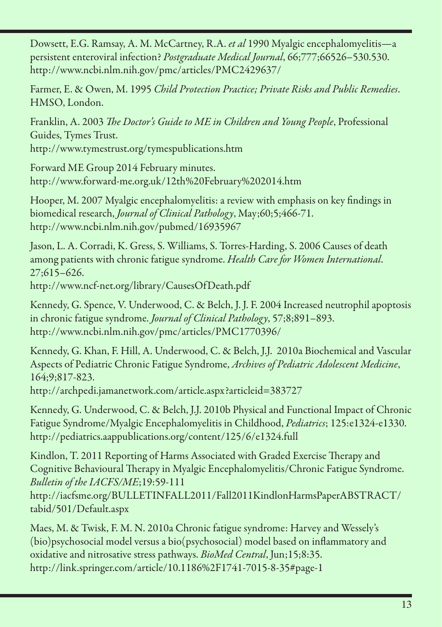Dowsett, E.G. Ramsay, A. M. McCartney, R.A. *et al* 1990 Myalgic encephalomyelitis—a persistent enteroviral infection? *Postgraduate Medical Journal*, 66;777;66526–530.530. http://www.ncbi.nlm.nih.gov/pmc/articles/PMC2429637/

Farmer, E. & Owen, M. 1995 *Child Protection Practice; Private Risks and Public Remedies*. HMSO, London.

Franklin, A. 2003 *The Doctor's Guide to ME in Children and Young People*, Professional Guides, Tymes Trust. http://www.tymestrust.org/tymespublications.htm

Forward ME Group 2014 February minutes. http://www.forward-me.org.uk/12th%20February%202014.htm

Hooper, M. 2007 Myalgic encephalomyelitis: a review with emphasis on key findings in biomedical research, *Journal of Clinical Pathology*, May;60;5;466-71. http://www.ncbi.nlm.nih.gov/pubmed/16935967

Jason, L. A. Corradi, K. Gress, S. Williams, S. Torres-Harding, S. 2006 Causes of death among patients with chronic fatigue syndrome. *Health Care for Women International*. 27;615–626.

http://www.ncf-net.org/library/CausesOfDeath.pdf

Kennedy, G. Spence, V. Underwood, C. & Belch, J. J. F. 2004 Increased neutrophil apoptosis in chronic fatigue syndrome. *Journal of Clinical Pathology*, 57;8;891–893. http://www.ncbi.nlm.nih.gov/pmc/articles/PMC1770396/

Kennedy, G. Khan, F. Hill, A. Underwood, C. & Belch, J.J. 2010a Biochemical and Vascular Aspects of Pediatric Chronic Fatigue Syndrome, *Archives of Pediatric Adolescent Medicine*, 164;9;817-823.

http://archpedi.jamanetwork.com/article.aspx?articleid=383727

Kennedy, G. Underwood, C. & Belch, J.J. 2010b Physical and Functional Impact of Chronic Fatigue Syndrome/Myalgic Encephalomyelitis in Childhood, *Pediatrics*; 125:e1324-e1330. http://pediatrics.aappublications.org/content/125/6/e1324.full

Kindlon, T. 2011 Reporting of Harms Associated with Graded Exercise Therapy and Cognitive Behavioural Therapy in Myalgic Encephalomyelitis/Chronic Fatigue Syndrome. *Bulletin of the IACFS/ME*;19:59-111

http://iacfsme.org/BULLETINFALL2011/Fall2011KindlonHarmsPaperABSTRACT/ tabid/501/Default.aspx

Maes, M. & Twisk, F. M. N. 2010a Chronic fatigue syndrome: Harvey and Wessely's (bio)psychosocial model versus a bio(psychosocial) model based on inflammatory and oxidative and nitrosative stress pathways. *BioMed Central*, Jun;15;8:35. http://link.springer.com/article/10.1186%2F1741-7015-8-35#page-1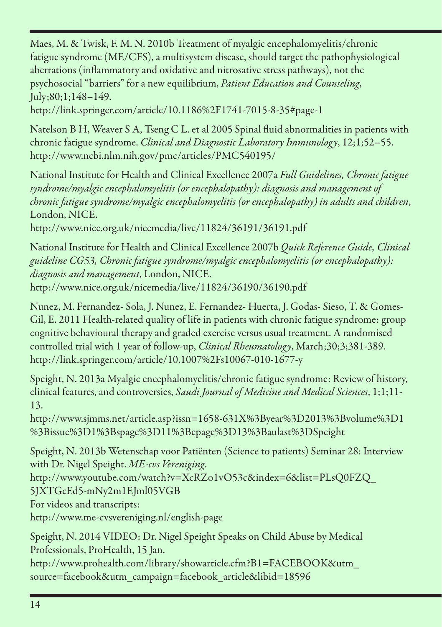Maes, M. & Twisk, F. M. N. 2010b Treatment of myalgic encephalomyelitis/chronic fatigue syndrome (ME/CFS), a multisystem disease, should target the pathophysiological aberrations (inflammatory and oxidative and nitrosative stress pathways), not the psychosocial "barriers" for a new equilibrium, *Patient Education and Counseling*, July;80;1;148–149.

http://link.springer.com/article/10.1186%2F1741-7015-8-35#page-1

Natelson B H, Weaver S A, Tseng C L. et al 2005 Spinal fluid abnormalities in patients with chronic fatigue syndrome. *Clinical and Diagnostic Laboratory Immunology*, 12;1;52–55. http://www.ncbi.nlm.nih.gov/pmc/articles/PMC540195/

National Institute for Health and Clinical Excellence 2007a *Full Guidelines, Chronic fatigue syndrome/myalgic encephalomyelitis (or encephalopathy): diagnosis and management of chronic fatigue syndrome/myalgic encephalomyelitis (or encephalopathy) in adults and children*, London, NICE.

http://www.nice.org.uk/nicemedia/live/11824/36191/36191.pdf

National Institute for Health and Clinical Excellence 2007b *Quick Reference Guide, Clinical guideline CG53, Chronic fatigue syndrome/myalgic encephalomyelitis (or encephalopathy): diagnosis and management*, London, NICE. http://www.nice.org.uk/nicemedia/live/11824/36190/36190.pdf

Nunez, M. Fernandez- Sola, J. Nunez, E. Fernandez- Huerta, J. Godas- Sieso, T. & Gomes-Gil, E. 2011 Health-related quality of life in patients with chronic fatigue syndrome: group cognitive behavioural therapy and graded exercise versus usual treatment. A randomised controlled trial with 1 year of follow-up, *Clinical Rheumatology*, March;30;3;381-389. http://link.springer.com/article/10.1007%2Fs10067-010-1677-y

Speight, N. 2013a Myalgic encephalomyelitis/chronic fatigue syndrome: Review of history, clinical features, and controversies, *Saudi Journal of Medicine and Medical Sciences*, 1;1;11- 13.

http://www.sjmms.net/article.asp?issn=1658-631X%3Byear%3D2013%3Bvolume%3D1 %3Bissue%3D1%3Bspage%3D11%3Bepage%3D13%3Baulast%3DSpeight

Speight, N. 2013b Wetenschap voor Patiënten (Science to patients) Seminar 28: Interview with Dr. Nigel Speight. *ME-cvs Vereniging*.

http://www.youtube.com/watch?v=XcRZo1vO53c&index=6&list=PLsQ0FZQ\_

5JXTGcEd5-mNy2m1EJml05VGB For videos and transcripts:

http://www.me-cvsvereniging.nl/english-page

Speight, N. 2014 VIDEO: Dr. Nigel Speight Speaks on Child Abuse by Medical Professionals, ProHealth, 15 Jan.

http://www.prohealth.com/library/showarticle.cfm?B1=FACEBOOK&utm\_ source=facebook&utm\_campaign=facebook\_article&libid=18596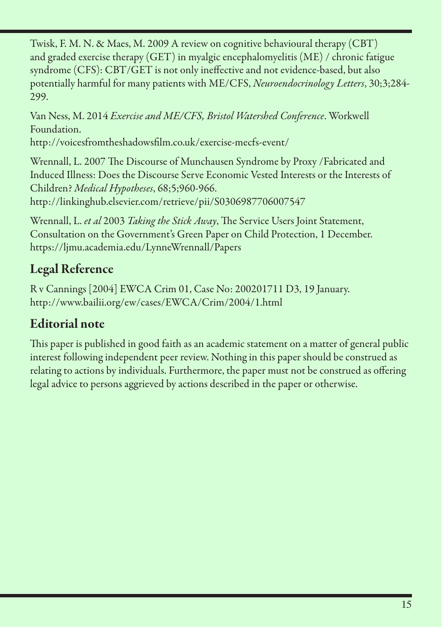Twisk, F. M. N. & Maes, M. 2009 A review on cognitive behavioural therapy (CBT) and graded exercise therapy (GET) in myalgic encephalomyelitis (ME) / chronic fatigue syndrome (CFS): CBT/GET is not only ineffective and not evidence-based, but also potentially harmful for many patients with ME/CFS, *Neuroendocrinology Letters*, 30;3;284- 299.

Van Ness, M. 2014 *Exercise and ME/CFS, Bristol Watershed Conference*. Workwell Foundation.

http://voicesfromtheshadowsfilm.co.uk/exercise-mecfs-event/

Wrennall, L. 2007 The Discourse of Munchausen Syndrome by Proxy /Fabricated and Induced Illness: Does the Discourse Serve Economic Vested Interests or the Interests of Children? *Medical Hypotheses*, 68;5;960-966. http://linkinghub.elsevier.com/retrieve/pii/S0306987706007547

Wrennall, L. *et al* 2003 *Taking the Stick Away*, The Service Users Joint Statement, Consultation on the Government's Green Paper on Child Protection, 1 December. https://ljmu.academia.edu/LynneWrennall/Papers

# Legal Reference

R v Cannings [2004] EWCA Crim 01, Case No: 200201711 D3, 19 January. http://www.bailii.org/ew/cases/EWCA/Crim/2004/1.html

# Editorial note

This paper is published in good faith as an academic statement on a matter of general public interest following independent peer review. Nothing in this paper should be construed as relating to actions by individuals. Furthermore, the paper must not be construed as offering legal advice to persons aggrieved by actions described in the paper or otherwise.